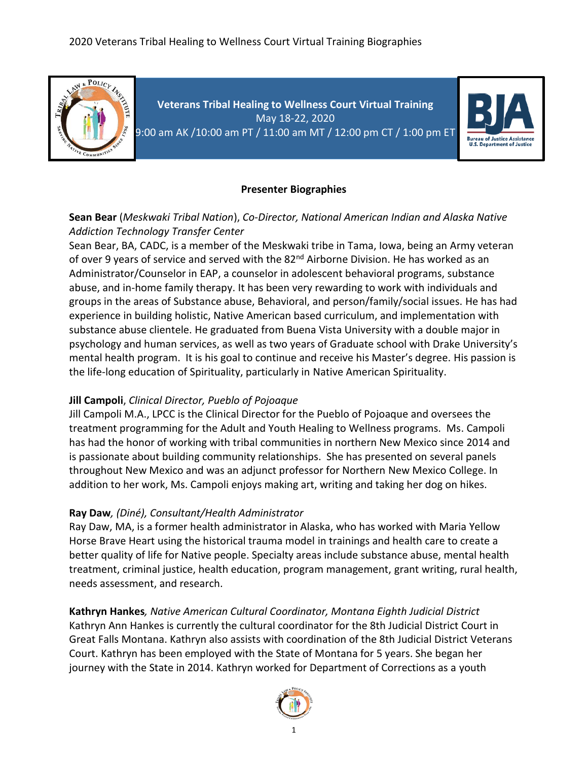

**Veterans Tribal Healing to Wellness Court Virtual Training** May 18-22, 2020 9:00 am AK /10:00 am PT / 11:00 am MT / 12:00 pm CT / 1:00 pm ET



### **Presenter Biographies**

### **Sean Bear** (*Meskwaki Tribal Nation*), *Co-Director, National American Indian and Alaska Native Addiction Technology Transfer Center*

Sean Bear, BA, CADC, is a member of the Meskwaki tribe in Tama, Iowa, being an Army veteran of over 9 years of service and served with the 82<sup>nd</sup> Airborne Division. He has worked as an Administrator/Counselor in EAP, a counselor in adolescent behavioral programs, substance abuse, and in-home family therapy. It has been very rewarding to work with individuals and groups in the areas of Substance abuse, Behavioral, and person/family/social issues. He has had experience in building holistic, Native American based curriculum, and implementation with substance abuse clientele. He graduated from Buena Vista University with a double major in psychology and human services, as well as two years of Graduate school with Drake University's mental health program. It is his goal to continue and receive his Master's degree. His passion is the life-long education of Spirituality, particularly in Native American Spirituality.

### **Jill Campoli**, *Clinical Director, Pueblo of Pojoaque*

Jill Campoli M.A., LPCC is the Clinical Director for the Pueblo of Pojoaque and oversees the treatment programming for the Adult and Youth Healing to Wellness programs. Ms. Campoli has had the honor of working with tribal communities in northern New Mexico since 2014 and is passionate about building community relationships. She has presented on several panels throughout New Mexico and was an adjunct professor for Northern New Mexico College. In addition to her work, Ms. Campoli enjoys making art, writing and taking her dog on hikes.

### **Ray Daw***, (Diné), Consultant/Health Administrator*

Ray Daw, MA, is a former health administrator in Alaska, who has worked with Maria Yellow Horse Brave Heart using the historical trauma model in trainings and health care to create a better quality of life for Native people. Specialty areas include substance abuse, mental health treatment, criminal justice, health education, program management, grant writing, rural health, needs assessment, and research.

**Kathryn Hankes***, Native American Cultural Coordinator, Montana Eighth Judicial District* Kathryn Ann Hankes is currently the cultural coordinator for the 8th Judicial District Court in Great Falls Montana. Kathryn also assists with coordination of the 8th Judicial District Veterans Court. Kathryn has been employed with the State of Montana for 5 years. She began her journey with the State in 2014. Kathryn worked for Department of Corrections as a youth

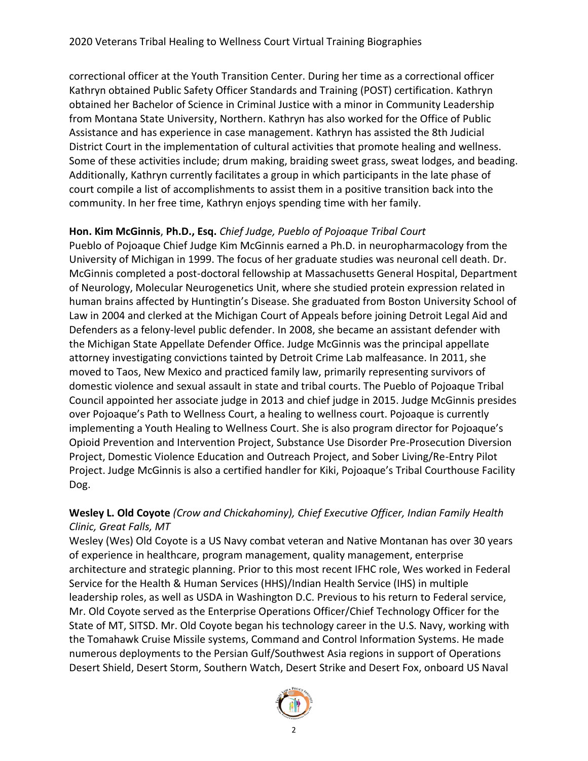correctional officer at the Youth Transition Center. During her time as a correctional officer Kathryn obtained Public Safety Officer Standards and Training (POST) certification. Kathryn obtained her Bachelor of Science in Criminal Justice with a minor in Community Leadership from Montana State University, Northern. Kathryn has also worked for the Office of Public Assistance and has experience in case management. Kathryn has assisted the 8th Judicial District Court in the implementation of cultural activities that promote healing and wellness. Some of these activities include; drum making, braiding sweet grass, sweat lodges, and beading. Additionally, Kathryn currently facilitates a group in which participants in the late phase of court compile a list of accomplishments to assist them in a positive transition back into the community. In her free time, Kathryn enjoys spending time with her family.

### **Hon. Kim McGinnis**, **Ph.D., Esq.** *Chief Judge, Pueblo of Pojoaque Tribal Court*

Pueblo of Pojoaque Chief Judge Kim McGinnis earned a Ph.D. in neuropharmacology from the University of Michigan in 1999. The focus of her graduate studies was neuronal cell death. Dr. McGinnis completed a post-doctoral fellowship at Massachusetts General Hospital, Department of Neurology, Molecular Neurogenetics Unit, where she studied protein expression related in human brains affected by Huntingtin's Disease. She graduated from Boston University School of Law in 2004 and clerked at the Michigan Court of Appeals before joining Detroit Legal Aid and Defenders as a felony-level public defender. In 2008, she became an assistant defender with the Michigan State Appellate Defender Office. Judge McGinnis was the principal appellate attorney investigating convictions tainted by Detroit Crime Lab malfeasance. In 2011, she moved to Taos, New Mexico and practiced family law, primarily representing survivors of domestic violence and sexual assault in state and tribal courts. The Pueblo of Pojoaque Tribal Council appointed her associate judge in 2013 and chief judge in 2015. Judge McGinnis presides over Pojoaque's Path to Wellness Court, a healing to wellness court. Pojoaque is currently implementing a Youth Healing to Wellness Court. She is also program director for Pojoaque's Opioid Prevention and Intervention Project, Substance Use Disorder Pre-Prosecution Diversion Project, Domestic Violence Education and Outreach Project, and Sober Living/Re-Entry Pilot Project. Judge McGinnis is also a certified handler for Kiki, Pojoaque's Tribal Courthouse Facility Dog.

# **Wesley L. Old Coyote** *(Crow and Chickahominy), Chief Executive Officer, Indian Family Health Clinic, Great Falls, MT*

Wesley (Wes) Old Coyote is a US Navy combat veteran and Native Montanan has over 30 years of experience in healthcare, program management, quality management, enterprise architecture and strategic planning. Prior to this most recent IFHC role, Wes worked in Federal Service for the Health & Human Services (HHS)/Indian Health Service (IHS) in multiple leadership roles, as well as USDA in Washington D.C. Previous to his return to Federal service, Mr. Old Coyote served as the Enterprise Operations Officer/Chief Technology Officer for the State of MT, SITSD. Mr. Old Coyote began his technology career in the U.S. Navy, working with the Tomahawk Cruise Missile systems, Command and Control Information Systems. He made numerous deployments to the Persian Gulf/Southwest Asia regions in support of Operations Desert Shield, Desert Storm, Southern Watch, Desert Strike and Desert Fox, onboard US Naval

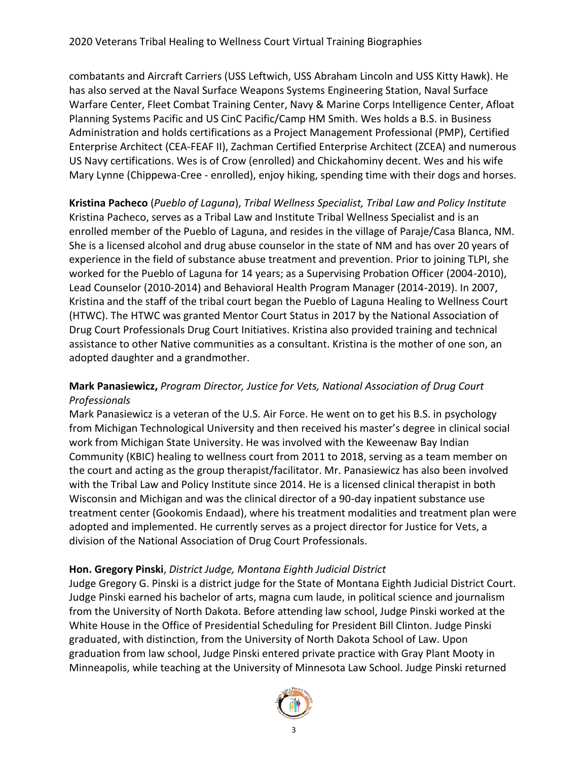combatants and Aircraft Carriers (USS Leftwich, USS Abraham Lincoln and USS Kitty Hawk). He has also served at the Naval Surface Weapons Systems Engineering Station, Naval Surface Warfare Center, Fleet Combat Training Center, Navy & Marine Corps Intelligence Center, Afloat Planning Systems Pacific and US CinC Pacific/Camp HM Smith. Wes holds a B.S. in Business Administration and holds certifications as a Project Management Professional (PMP), Certified Enterprise Architect (CEA-FEAF II), Zachman Certified Enterprise Architect (ZCEA) and numerous US Navy certifications. Wes is of Crow (enrolled) and Chickahominy decent. Wes and his wife Mary Lynne (Chippewa-Cree - enrolled), enjoy hiking, spending time with their dogs and horses.

**Kristina Pacheco** (*Pueblo of Laguna*), *Tribal Wellness Specialist, Tribal Law and Policy Institute* Kristina Pacheco, serves as a Tribal Law and Institute Tribal Wellness Specialist and is an enrolled member of the Pueblo of Laguna, and resides in the village of Paraje/Casa Blanca, NM. She is a licensed alcohol and drug abuse counselor in the state of NM and has over 20 years of experience in the field of substance abuse treatment and prevention. Prior to joining TLPI, she worked for the Pueblo of Laguna for 14 years; as a Supervising Probation Officer (2004-2010), Lead Counselor (2010-2014) and Behavioral Health Program Manager (2014-2019). In 2007, Kristina and the staff of the tribal court began the Pueblo of Laguna Healing to Wellness Court (HTWC). The HTWC was granted Mentor Court Status in 2017 by the National Association of Drug Court Professionals Drug Court Initiatives. Kristina also provided training and technical assistance to other Native communities as a consultant. Kristina is the mother of one son, an adopted daughter and a grandmother.

# **Mark Panasiewicz,** *Program Director, Justice for Vets, National Association of Drug Court Professionals*

Mark Panasiewicz is a veteran of the U.S. Air Force. He went on to get his B.S. in psychology from Michigan Technological University and then received his master's degree in clinical social work from Michigan State University. He was involved with the Keweenaw Bay Indian Community (KBIC) healing to wellness court from 2011 to 2018, serving as a team member on the court and acting as the group therapist/facilitator. Mr. Panasiewicz has also been involved with the Tribal Law and Policy Institute since 2014. He is a licensed clinical therapist in both Wisconsin and Michigan and was the clinical director of a 90-day inpatient substance use treatment center (Gookomis Endaad), where his treatment modalities and treatment plan were adopted and implemented. He currently serves as a project director for Justice for Vets, a division of the National Association of Drug Court Professionals.

# **Hon. Gregory Pinski**, *District Judge, Montana Eighth Judicial District*

Judge Gregory G. Pinski is a district judge for the State of Montana Eighth Judicial District Court. Judge Pinski earned his bachelor of arts, magna cum laude, in political science and journalism from the University of North Dakota. Before attending law school, Judge Pinski worked at the White House in the Office of Presidential Scheduling for President Bill Clinton. Judge Pinski graduated, with distinction, from the University of North Dakota School of Law. Upon graduation from law school, Judge Pinski entered private practice with Gray Plant Mooty in Minneapolis, while teaching at the University of Minnesota Law School. Judge Pinski returned